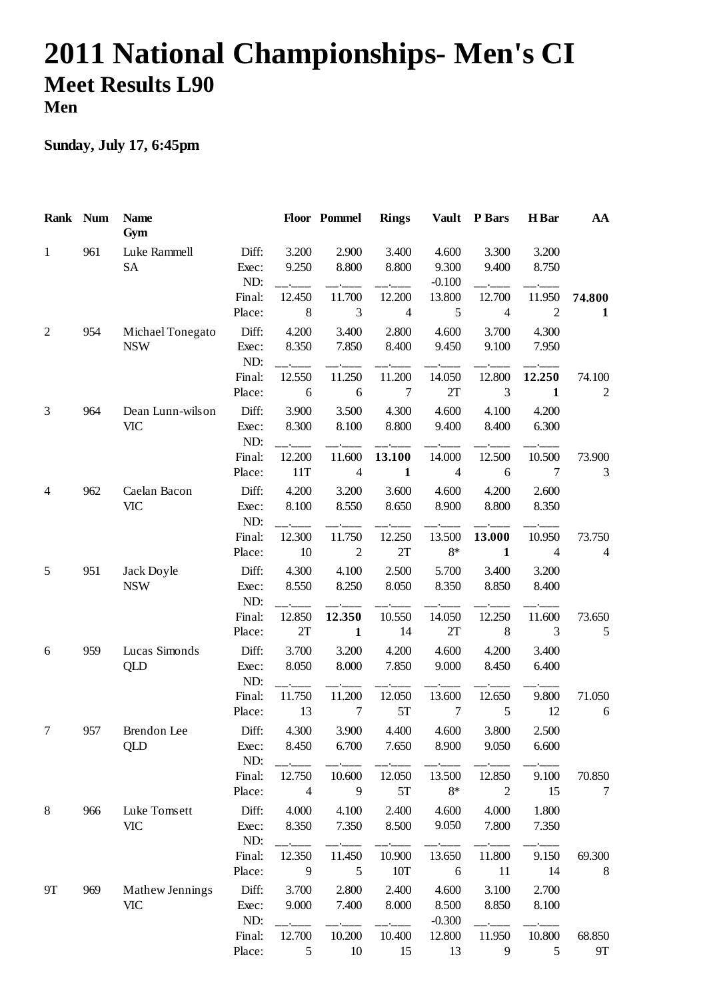## **2011 National Championships- Men's CI Meet Results L90 Men**

## **Sunday, July 17, 6:45pm**

| Rank Num       |     | <b>Name</b><br>Gym             |                       |                          | Floor Pommel             | <b>Rings</b>             | <b>Vault</b>               | <b>P</b> Bars            | H Bar                    | AA                       |
|----------------|-----|--------------------------------|-----------------------|--------------------------|--------------------------|--------------------------|----------------------------|--------------------------|--------------------------|--------------------------|
| $\mathbf{1}$   | 961 | Luke Rammell<br><b>SA</b>      | Diff:<br>Exec:<br>ND: | 3.200<br>9.250           | 2.900<br>8.800           | 3.400<br>8.800           | 4.600<br>9.300<br>$-0.100$ | 3.300<br>9.400           | 3.200<br>8.750           |                          |
|                |     |                                | Final:<br>Place:      | 12.450<br>$\,8\,$        | 11.700<br>3              | 12.200<br>$\overline{4}$ | 13.800<br>5                | 12.700<br>$\overline{4}$ | 11.950<br>$\mathfrak{2}$ | 74.800<br>$\mathbf 1$    |
| $\overline{c}$ | 954 | Michael Tonegato<br><b>NSW</b> | Diff:<br>Exec:<br>ND: | 4.200<br>8.350           | 3.400<br>7.850           | 2.800<br>8.400           | 4.600<br>9.450             | 3.700<br>9.100           | 4.300<br>7.950           |                          |
|                |     |                                | Final:<br>Place:      | 12.550<br>6              | 11.250<br>6              | 11.200<br>7              | 14.050<br>2T               | 12.800<br>3              | 12.250<br>1              | 74.100<br>$\overline{2}$ |
| 3              | 964 | Dean Lunn-wilson<br><b>VIC</b> | Diff:<br>Exec:<br>ND: | 3.900<br>8.300           | 3.500<br>8.100           | 4.300<br>8.800           | 4.600<br>9.400             | 4.100<br>8.400           | 4.200<br>6.300           |                          |
|                |     |                                | Final:<br>Place:      | 12.200<br>11T            | 11.600<br>$\overline{4}$ | 13.100<br>$\mathbf{1}$   | 14.000<br>$\overline{4}$   | 12.500<br>6              | 10.500<br>7              | 73.900<br>3              |
| $\overline{4}$ | 962 | Caelan Bacon<br><b>VIC</b>     | Diff:<br>Exec:<br>ND: | 4.200<br>8.100           | 3.200<br>8.550           | 3.600<br>8.650           | 4.600<br>8.900             | 4.200<br>8.800           | 2.600<br>8.350           |                          |
|                |     |                                | Final:<br>Place:      | 12.300<br>10             | 11.750<br>$\overline{2}$ | 12.250<br>2T             | 13.500<br>$8*$             | 13.000<br>$\mathbf{1}$   | 10.950<br>$\overline{4}$ | 73.750<br>4              |
| 5              | 951 | Jack Doyle<br><b>NSW</b>       | Diff:<br>Exec:<br>ND: | 4.300<br>8.550           | 4.100<br>8.250           | 2.500<br>8.050           | 5.700<br>8.350             | 3.400<br>8.850           | 3.200<br>8.400           |                          |
|                |     |                                | Final:<br>Place:      | 12.850<br>2T             | 12.350<br>$\mathbf{1}$   | 10.550<br>14             | 14.050<br>$2\mathrm{T}$    | 12.250<br>8              | 11.600<br>3              | 73.650<br>5              |
| 6              | 959 | Lucas Simonds<br>QLD           | Diff:<br>Exec:<br>ND: | 3.700<br>8.050           | 3.200<br>8.000           | 4.200<br>7.850           | 4.600<br>9.000             | 4.200<br>8.450           | 3.400<br>6.400           |                          |
|                |     |                                | Final:<br>Place:      | 11.750<br>13             | 11.200<br>7              | 12.050<br>5T             | 13.600<br>7                | 12.650<br>5              | 9.800<br>12              | 71.050<br>$\sqrt{6}$     |
| 7              | 957 | Brendon Lee<br>QLD             | Diff:<br>Exec:<br>ND: | 4.300<br>8.450           | 3.900<br>6.700           | 4.400<br>7.650           | 4.600<br>8.900             | 3.800<br>9.050           | 2.500<br>6.600           |                          |
|                |     |                                | Final:<br>Place:      | 12.750<br>$\overline{4}$ | 10.600<br>9              | 12.050<br>5T             | 13.500<br>$8*$             | 12.850<br>$\overline{2}$ | 9.100<br>15              | 70.850<br>7              |
| $8\,$          | 966 | Luke Tomsett<br><b>VIC</b>     | Diff:<br>Exec:<br>ND: | 4.000<br>8.350           | 4.100<br>7.350           | 2.400<br>8.500           | 4.600<br>9.050             | 4.000<br>7.800           | 1.800<br>7.350           |                          |
|                |     |                                | Final:<br>Place:      | 12.350<br>9              | 11.450<br>5              | 10.900<br>10T            | 13.650<br>6                | 11.800<br>11             | 9.150<br>14              | 69.300<br>8              |
| <b>9T</b>      | 969 | Mathew Jennings<br><b>VIC</b>  | Diff:<br>Exec:<br>ND: | 3.700<br>9.000           | 2.800<br>7.400           | 2.400<br>8.000           | 4.600<br>8.500<br>$-0.300$ | 3.100<br>8.850           | 2.700<br>8.100           |                          |
|                |     |                                | Final:<br>Place:      | 12.700<br>5              | 10.200<br>10             | 10.400<br>15             | 12.800<br>13               | 11.950<br>9              | 10.800<br>5              | 68.850<br>9Τ             |